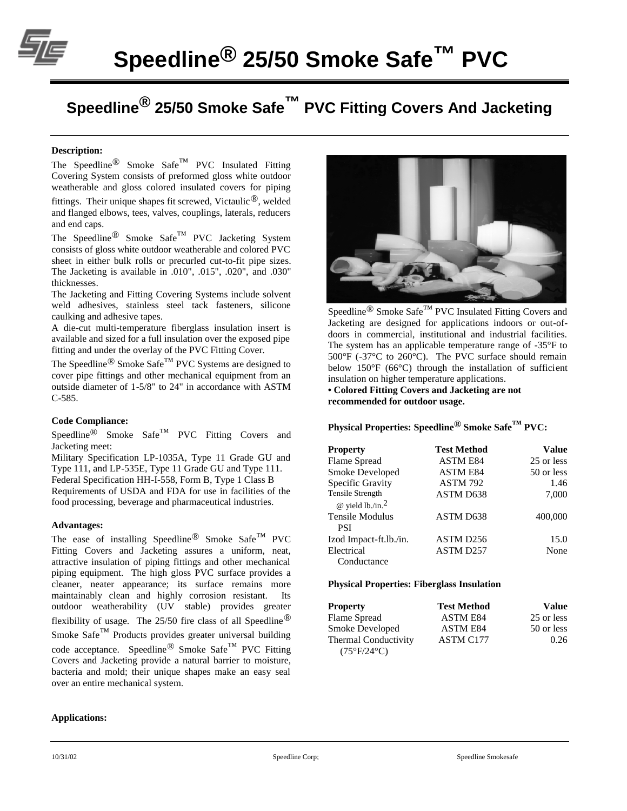

# **Speedline® 25/50 Smoke Safe™ PVC Fitting Covers And Jacketing**

#### **Description:**

The Speedline<sup>®</sup> Smoke Safe<sup>™</sup> PVC Insulated Fitting Covering System consists of preformed gloss white outdoor weatherable and gloss colored insulated covers for piping fittings. Their unique shapes fit screwed, Victaulic<sup>®</sup>, welded and flanged elbows, tees, valves, couplings, laterals, reducers and end caps.

The Speedline<sup>®</sup> Smoke Safe<sup>™</sup> PVC Jacketing System consists of gloss white outdoor weatherable and colored PVC sheet in either bulk rolls or precurled cut-to-fit pipe sizes. The Jacketing is available in .010", .015", .020", and .030" thicknesses.

The Jacketing and Fitting Covering Systems include solvent weld adhesives, stainless steel tack fasteners, silicone caulking and adhesive tapes.

A die-cut multi-temperature fiberglass insulation insert is available and sized for a full insulation over the exposed pipe fitting and under the overlay of the PVC Fitting Cover.

The Speedline® Smoke Safe™ PVC Systems are designed to cover pipe fittings and other mechanical equipment from an outside diameter of 1-5/8" to 24" in accordance with ASTM C-585.

## **Code Compliance:**

Speedline<sup>®</sup> Smoke Safe™ PVC Fitting Covers and Jacketing meet:

Military Specification LP-1035A, Type 11 Grade GU and Type 111, and LP-535E, Type 11 Grade GU and Type 111. Federal Specification HH-I-558, Form B, Type 1 Class B Requirements of USDA and FDA for use in facilities of the food processing, beverage and pharmaceutical industries.

#### **Advantages:**

The ease of installing Speedline<sup>®</sup> Smoke Safe<sup>™</sup> PVC Fitting Covers and Jacketing assures a uniform, neat, attractive insulation of piping fittings and other mechanical piping equipment. The high gloss PVC surface provides a cleaner, neater appearance; its surface remains more maintainably clean and highly corrosion resistant. Its outdoor weatherability (UV stable) provides greater flexibility of usage. The 25/50 fire class of all Speedline® Smoke Safe $^{TM}$  Products provides greater universal building code acceptance. Speedline® Smoke Safe™ PVC Fitting Covers and Jacketing provide a natural barrier to moisture, bacteria and mold; their unique shapes make an easy seal over an entire mechanical system.

#### **Applications:**



Speedline<sup>®</sup> Smoke Safe<sup>™</sup> PVC Insulated Fitting Covers and Jacketing are designed for applications indoors or out-ofdoors in commercial, institutional and industrial facilities. The system has an applicable temperature range of -35°F to  $500^{\circ}$ F (-37 $^{\circ}$ C to 260 $^{\circ}$ C). The PVC surface should remain below 150°F (66°C) through the installation of sufficient insulation on higher temperature applications.

**• Colored Fitting Covers and Jacketing are not recommended for outdoor usage.**

## **Physical Properties: Speedline® Smoke Safe™ PVC:**

| <b>Property</b>                                                | <b>Test Method</b>    | Value      |
|----------------------------------------------------------------|-----------------------|------------|
| Flame Spread                                                   | <b>ASTM E84</b>       | 25 or less |
| Smoke Developed                                                | <b>ASTM E84</b>       | 50 or less |
| Specific Gravity                                               | <b>ASTM 792</b>       | 1.46       |
| <b>Tensile Strength</b><br>$\omega$ yield lb./in. <sup>2</sup> | ASTM D638             | 7,000      |
| Tensile Modulus<br><b>PSI</b>                                  | ASTM D638             | 400,000    |
| Izod Impact-ft.lb./in.                                         | ASTM D <sub>256</sub> | 15.0       |
| Electrical<br>Conductance                                      | ASTM D257             | None       |

#### **Physical Properties: Fiberglass Insulation**

| <b>Property</b>             | <b>Test Method</b> | Value      |
|-----------------------------|--------------------|------------|
| Flame Spread                | <b>ASTM E84</b>    | 25 or less |
| Smoke Developed             | <b>ASTM E84</b>    | 50 or less |
| Thermal Conductivity        | ASTM C177          | 0.26       |
| $(75^{\circ}F/24^{\circ}C)$ |                    |            |